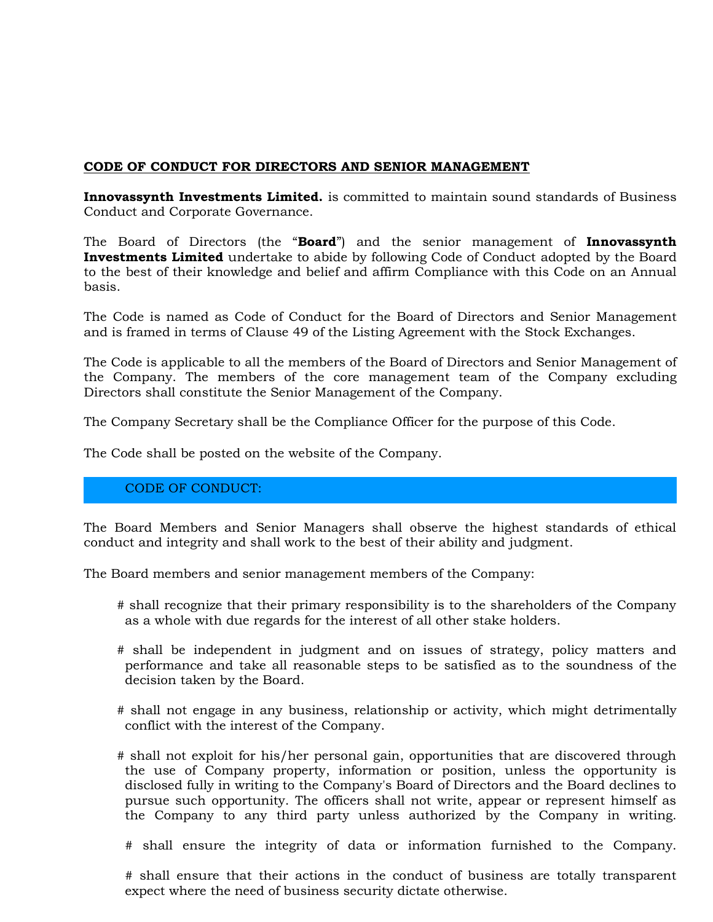## **CODE OF CONDUCT FOR DIRECTORS AND SENIOR MANAGEMENT**

**Innovassynth Investments Limited.** is committed to maintain sound standards of Business Conduct and Corporate Governance.

The Board of Directors (the "**Board**") and the senior management of **Innovassynth Investments Limited** undertake to abide by following Code of Conduct adopted by the Board to the best of their knowledge and belief and affirm Compliance with this Code on an Annual basis.

The Code is named as Code of Conduct for the Board of Directors and Senior Management and is framed in terms of Clause 49 of the Listing Agreement with the Stock Exchanges.

The Code is applicable to all the members of the Board of Directors and Senior Management of the Company. The members of the core management team of the Company excluding Directors shall constitute the Senior Management of the Company.

The Company Secretary shall be the Compliance Officer for the purpose of this Code.

The Code shall be posted on the website of the Company.

## CODE OF CONDUCT:

The Board Members and Senior Managers shall observe the highest standards of ethical conduct and integrity and shall work to the best of their ability and judgment.

The Board members and senior management members of the Company:

- # shall recognize that their primary responsibility is to the shareholders of the Company as a whole with due regards for the interest of all other stake holders.
- # shall be independent in judgment and on issues of strategy, policy matters and performance and take all reasonable steps to be satisfied as to the soundness of the decision taken by the Board.
- # shall not engage in any business, relationship or activity, which might detrimentally conflict with the interest of the Company.
- # shall not exploit for his/her personal gain, opportunities that are discovered through the use of Company property, information or position, unless the opportunity is disclosed fully in writing to the Company's Board of Directors and the Board declines to pursue such opportunity. The officers shall not write, appear or represent himself as the Company to any third party unless authorized by the Company in writing.
	- # shall ensure the integrity of data or information furnished to the Company.

# shall ensure that their actions in the conduct of business are totally transparent expect where the need of business security dictate otherwise.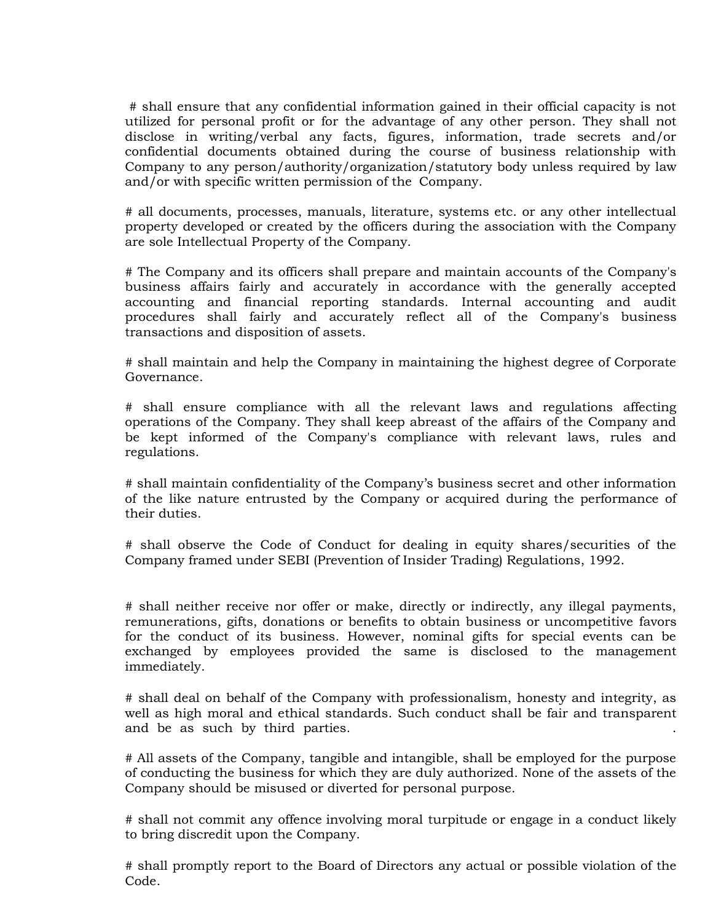# shall ensure that any confidential information gained in their official capacity is not utilized for personal profit or for the advantage of any other person. They shall not disclose in writing/verbal any facts, figures, information, trade secrets and/or confidential documents obtained during the course of business relationship with Company to any person/authority/organization/statutory body unless required by law and/or with specific written permission of the Company.

# all documents, processes, manuals, literature, systems etc. or any other intellectual property developed or created by the officers during the association with the Company are sole Intellectual Property of the Company.

# The Company and its officers shall prepare and maintain accounts of the Company's business affairs fairly and accurately in accordance with the generally accepted accounting and financial reporting standards. Internal accounting and audit procedures shall fairly and accurately reflect all of the Company's business transactions and disposition of assets.

# shall maintain and help the Company in maintaining the highest degree of Corporate Governance.

# shall ensure compliance with all the relevant laws and regulations affecting operations of the Company. They shall keep abreast of the affairs of the Company and be kept informed of the Company's compliance with relevant laws, rules and regulations.

# shall maintain confidentiality of the Company's business secret and other information of the like nature entrusted by the Company or acquired during the performance of their duties.

# shall observe the Code of Conduct for dealing in equity shares/securities of the Company framed under SEBI (Prevention of Insider Trading) Regulations, 1992.

# shall neither receive nor offer or make, directly or indirectly, any illegal payments, remunerations, gifts, donations or benefits to obtain business or uncompetitive favors for the conduct of its business. However, nominal gifts for special events can be exchanged by employees provided the same is disclosed to the management immediately.

# shall deal on behalf of the Company with professionalism, honesty and integrity, as well as high moral and ethical standards. Such conduct shall be fair and transparent and be as such by third parties. .

# All assets of the Company, tangible and intangible, shall be employed for the purpose of conducting the business for which they are duly authorized. None of the assets of the Company should be misused or diverted for personal purpose.

# shall not commit any offence involving moral turpitude or engage in a conduct likely to bring discredit upon the Company.

# shall promptly report to the Board of Directors any actual or possible violation of the Code.